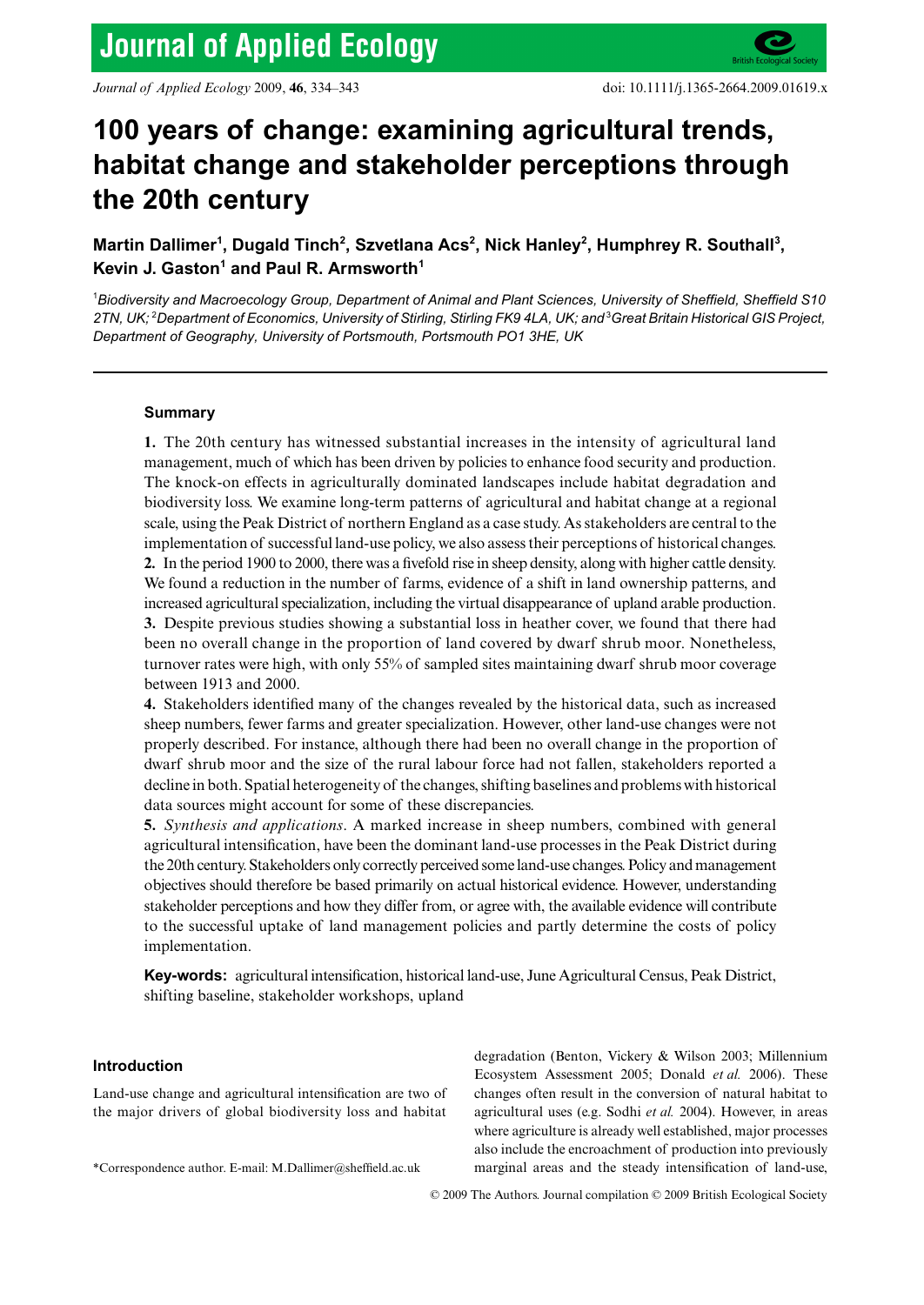# 100 years of change: examining agricultural trends, **habitat change and stakeholder perceptions through the 20th century**

Martin Dallimer<sup>1</sup>, Dugald Tinch<sup>2</sup>, Szvetlana Acs<sup>2</sup>, Nick Hanley<sup>2</sup>, Humphrey R. Southall<sup>3</sup>, Kevin J. Gaston<sup>1</sup> and Paul R. Armsworth<sup>1</sup>

1 *Biodiversity and Macroecology Group, Department of Animal and Plant Sciences, University of Sheffield, Sheffield S10*  2TN, UK; <sup>2</sup>Department of Economics, University of Stirling, Stirling FK9 4LA, UK; and <sup>3</sup>Great Britain Historical GIS Project, *Department of Geography, University of Portsmouth, Portsmouth PO1 3HE, UK*

# **Summary**

**1.** The 20th century has witnessed substantial increases in the intensity of agricultural land management, much of which has been driven by policies to enhance food security and production. The knock-on effects in agriculturally dominated landscapes include habitat degradation and biodiversity loss. We examine long-term patterns of agricultural and habitat change at a regional scale, using the Peak District of northern England as a case study. As stakeholders are central to the implementation of successful land-use policy, we also assess their perceptions of historical changes. **2.** In the period 1900 to 2000, there was a fivefold rise in sheep density, along with higher cattle density. We found a reduction in the number of farms, evidence of a shift in land ownership patterns, and increased agricultural specialization, including the virtual disappearance of upland arable production. **3.** Despite previous studies showing a substantial loss in heather cover, we found that there had been no overall change in the proportion of land covered by dwarf shrub moor. Nonetheless, turnover rates were high, with only 55% of sampled sites maintaining dwarf shrub moor coverage between 1913 and 2000.

**4.** Stakeholders identified many of the changes revealed by the historical data, such as increased sheep numbers, fewer farms and greater specialization. However, other land-use changes were not properly described. For instance, although there had been no overall change in the proportion of dwarf shrub moor and the size of the rural labour force had not fallen, stakeholders reported a decline in both. Spatial heterogeneity of the changes, shifting baselines and problems with historical data sources might account for some of these discrepancies.

**5.** *Synthesis and applications*. A marked increase in sheep numbers, combined with general agricultural intensification, have been the dominant land-use processes in the Peak District during the 20th century. Stakeholders only correctly perceived some land-use changes. Policy and management objectives should therefore be based primarily on actual historical evidence. However, understanding stakeholder perceptions and how they differ from, or agree with, the available evidence will contribute to the successful uptake of land management policies and partly determine the costs of policy implementation.

**Key-words:** agricultural intensification, historical land-use, June Agricultural Census, Peak District, shifting baseline, stakeholder workshops, upland

## **Introduction**

Land-use change and agricultural intensification are two of the major drivers of global biodiversity loss and habitat

degradation (Benton, Vickery & Wilson 2003; Millennium Ecosystem Assessment 2005; Donald *et al.* 2006). These changes often result in the conversion of natural habitat to agricultural uses (e.g. Sodhi *et al.* 2004). However, in areas where agriculture is already well established, major processes also include the encroachment of production into previously \*Correspondence author. E-mail: M.Dallimer@sheffield.ac.uk marginal areas and the steady intensification of land-use,

© 2009 The Authors. Journal compilation © 2009 British Ecological Society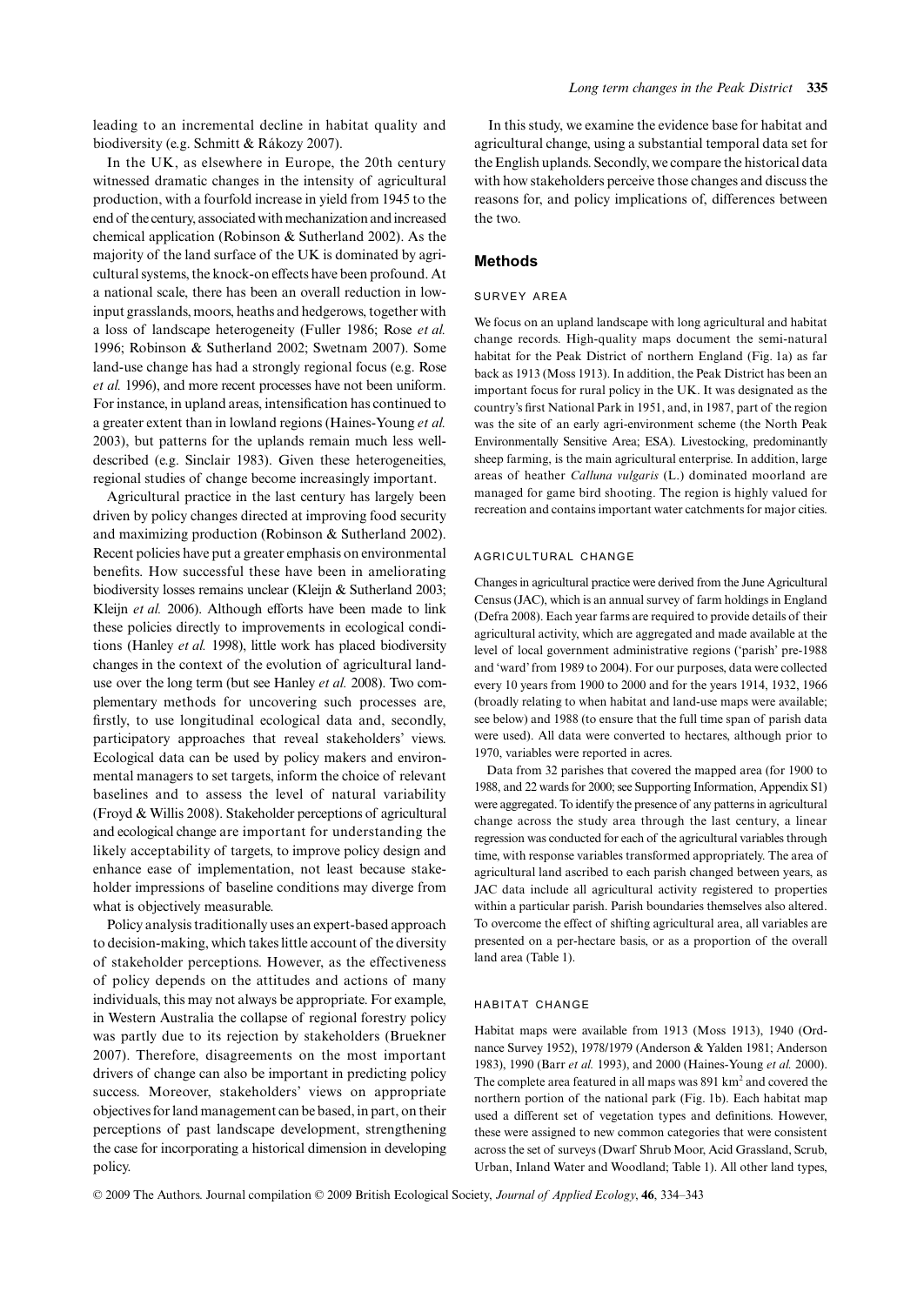leading to an incremental decline in habitat quality and biodiversity (e.g. Schmitt & Rákozy 2007).

In the UK, as elsewhere in Europe, the 20th century witnessed dramatic changes in the intensity of agricultural production, with a fourfold increase in yield from 1945 to the end of the century, associated with mechanization and increased chemical application (Robinson & Sutherland 2002). As the majority of the land surface of the UK is dominated by agricultural systems, the knock-on effects have been profound. At a national scale, there has been an overall reduction in lowinput grasslands, moors, heaths and hedgerows, together with a loss of landscape heterogeneity (Fuller 1986; Rose *et al.* 1996; Robinson & Sutherland 2002; Swetnam 2007). Some land-use change has had a strongly regional focus (e.g. Rose *et al.* 1996), and more recent processes have not been uniform. For instance, in upland areas, intensification has continued to a greater extent than in lowland regions (Haines-Young *et al.* 2003), but patterns for the uplands remain much less welldescribed (e.g. Sinclair 1983). Given these heterogeneities, regional studies of change become increasingly important.

Agricultural practice in the last century has largely been driven by policy changes directed at improving food security and maximizing production (Robinson & Sutherland 2002). Recent policies have put a greater emphasis on environmental benefits. How successful these have been in ameliorating biodiversity losses remains unclear (Kleijn & Sutherland 2003; Kleijn *et al.* 2006). Although efforts have been made to link these policies directly to improvements in ecological conditions (Hanley *et al.* 1998), little work has placed biodiversity changes in the context of the evolution of agricultural landuse over the long term (but see Hanley *et al.* 2008). Two complementary methods for uncovering such processes are, firstly, to use longitudinal ecological data and, secondly, participatory approaches that reveal stakeholders' views. Ecological data can be used by policy makers and environmental managers to set targets, inform the choice of relevant baselines and to assess the level of natural variability (Froyd & Willis 2008). Stakeholder perceptions of agricultural and ecological change are important for understanding the likely acceptability of targets, to improve policy design and enhance ease of implementation, not least because stakeholder impressions of baseline conditions may diverge from what is objectively measurable.

Policy analysis traditionally uses an expert-based approach to decision-making, which takes little account of the diversity of stakeholder perceptions. However, as the effectiveness of policy depends on the attitudes and actions of many individuals, this may not always be appropriate. For example, in Western Australia the collapse of regional forestry policy was partly due to its rejection by stakeholders (Bruekner 2007). Therefore, disagreements on the most important drivers of change can also be important in predicting policy success. Moreover, stakeholders' views on appropriate objectives for land management can be based, in part, on their perceptions of past landscape development, strengthening the case for incorporating a historical dimension in developing policy.

In this study, we examine the evidence base for habitat and agricultural change, using a substantial temporal data set for the English uplands. Secondly, we compare the historical data with how stakeholders perceive those changes and discuss the reasons for, and policy implications of, differences between the two.

# **Methods**

#### SURVEY AREA

We focus on an upland landscape with long agricultural and habitat change records. High-quality maps document the semi-natural habitat for the Peak District of northern England (Fig. 1a) as far back as 1913 (Moss 1913). In addition, the Peak District has been an important focus for rural policy in the UK. It was designated as the country's first National Park in 1951, and, in 1987, part of the region was the site of an early agri-environment scheme (the North Peak Environmentally Sensitive Area; ESA). Livestocking, predominantly sheep farming, is the main agricultural enterprise. In addition, large areas of heather *Calluna vulgaris* (L.) dominated moorland are managed for game bird shooting. The region is highly valued for recreation and contains important water catchments for major cities.

#### AGRICULTURAL CHANGE

Changes in agricultural practice were derived from the June Agricultural Census (JAC), which is an annual survey of farm holdings in England (Defra 2008). Each year farms are required to provide details of their agricultural activity, which are aggregated and made available at the level of local government administrative regions ('parish' pre-1988 and 'ward' from 1989 to 2004). For our purposes, data were collected every 10 years from 1900 to 2000 and for the years 1914, 1932, 1966 (broadly relating to when habitat and land-use maps were available; see below) and 1988 (to ensure that the full time span of parish data were used). All data were converted to hectares, although prior to 1970, variables were reported in acres.

Data from 32 parishes that covered the mapped area (for 1900 to 1988, and 22 wards for 2000; see Supporting Information, Appendix S1) were aggregated. To identify the presence of any patterns in agricultural change across the study area through the last century, a linear regression was conducted for each of the agricultural variables through time, with response variables transformed appropriately. The area of agricultural land ascribed to each parish changed between years, as JAC data include all agricultural activity registered to properties within a particular parish. Parish boundaries themselves also altered. To overcome the effect of shifting agricultural area, all variables are presented on a per-hectare basis, or as a proportion of the overall land area (Table 1).

## HABITAT CHANGE

Habitat maps were available from 1913 (Moss 1913), 1940 (Ordnance Survey 1952), 1978/1979 (Anderson & Yalden 1981; Anderson 1983), 1990 (Barr *et al.* 1993), and 2000 (Haines-Young *et al.* 2000). The complete area featured in all maps was  $891 \text{ km}^2$  and covered the northern portion of the national park (Fig. 1b). Each habitat map used a different set of vegetation types and definitions. However, these were assigned to new common categories that were consistent across the set of surveys (Dwarf Shrub Moor, Acid Grassland, Scrub, Urban, Inland Water and Woodland; Table 1). All other land types,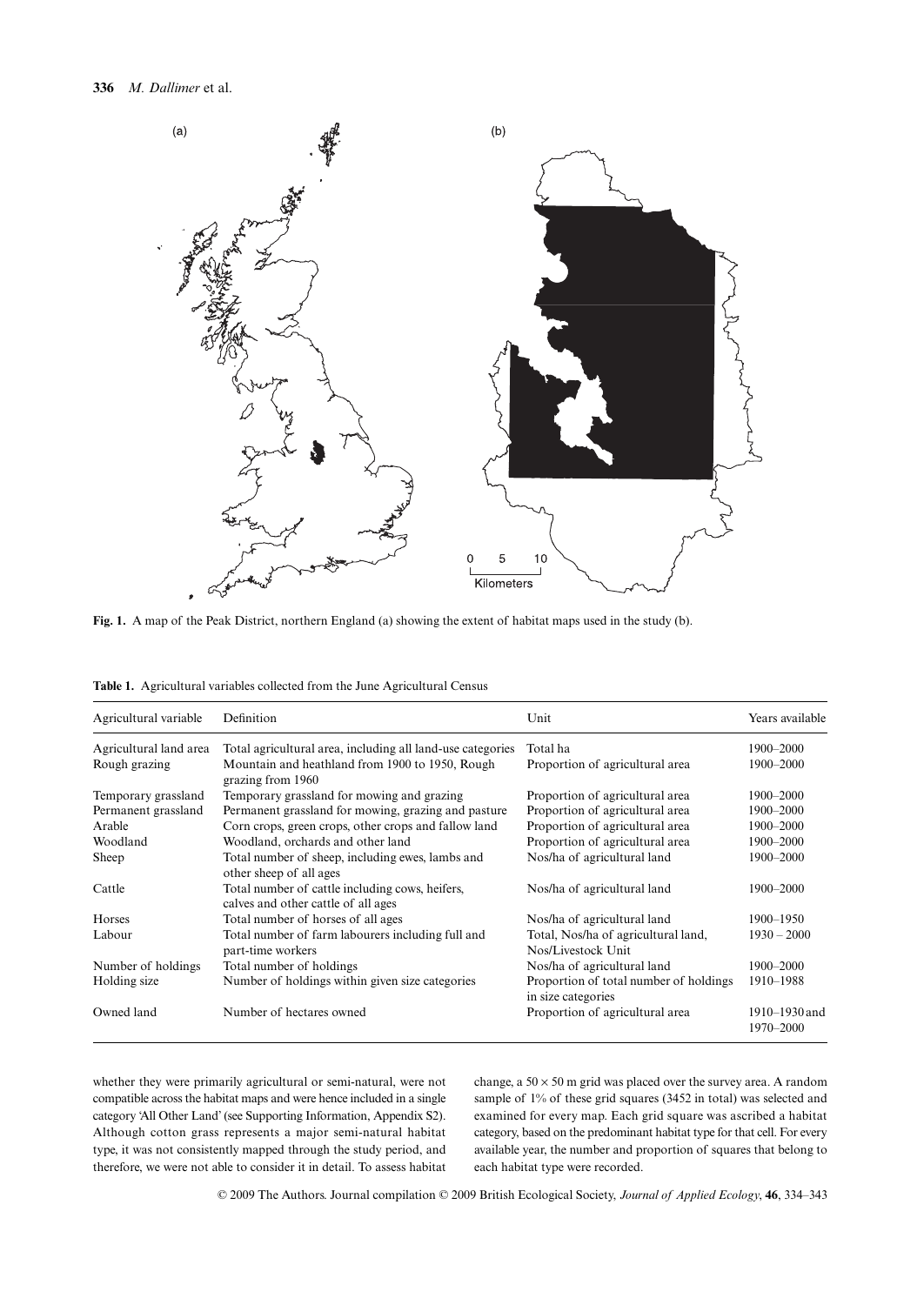

**Fig. 1.** A map of the Peak District, northern England (a) showing the extent of habitat maps used in the study (b).

| Agricultural variable  | Definition                                                                             | Unit                                                         | Years available            |
|------------------------|----------------------------------------------------------------------------------------|--------------------------------------------------------------|----------------------------|
| Agricultural land area | Total agricultural area, including all land-use categories                             | Total ha                                                     | 1900–2000                  |
| Rough grazing          | Mountain and heathland from 1900 to 1950, Rough<br>grazing from 1960                   | Proportion of agricultural area                              | 1900-2000                  |
| Temporary grassland    | Temporary grassland for mowing and grazing                                             | Proportion of agricultural area                              | 1900–2000                  |
| Permanent grassland    | Permanent grassland for mowing, grazing and pasture                                    | Proportion of agricultural area                              | 1900–2000                  |
| Arable                 | Corn crops, green crops, other crops and fallow land                                   | Proportion of agricultural area                              | 1900–2000                  |
| Woodland               | Woodland, orchards and other land                                                      | Proportion of agricultural area                              | 1900-2000                  |
| Sheep                  | Total number of sheep, including ewes, lambs and<br>other sheep of all ages            | Nos/ha of agricultural land                                  | 1900-2000                  |
| Cattle                 | Total number of cattle including cows, heifers,<br>calves and other cattle of all ages | Nos/ha of agricultural land                                  | 1900-2000                  |
| Horses                 | Total number of horses of all ages                                                     | Nos/ha of agricultural land                                  | 1900-1950                  |
| Labour                 | Total number of farm labourers including full and<br>part-time workers                 | Total, Nos/ha of agricultural land,<br>Nos/Livestock Unit    | $1930 - 2000$              |
| Number of holdings     | Total number of holdings                                                               | Nos/ha of agricultural land                                  | 1900–2000                  |
| Holding size           | Number of holdings within given size categories                                        | Proportion of total number of holdings<br>in size categories | 1910-1988                  |
| Owned land             | Number of hectares owned                                                               | Proportion of agricultural area                              | 1910–1930 and<br>1970-2000 |

**Table 1.** Agricultural variables collected from the June Agricultural Census

whether they were primarily agricultural or semi-natural, were not compatible across the habitat maps and were hence included in a single category 'All Other Land' (see Supporting Information, Appendix S2). Although cotton grass represents a major semi-natural habitat type, it was not consistently mapped through the study period, and therefore, we were not able to consider it in detail. To assess habitat

change, a  $50 \times 50$  m grid was placed over the survey area. A random sample of 1% of these grid squares (3452 in total) was selected and examined for every map. Each grid square was ascribed a habitat category, based on the predominant habitat type for that cell. For every available year, the number and proportion of squares that belong to each habitat type were recorded.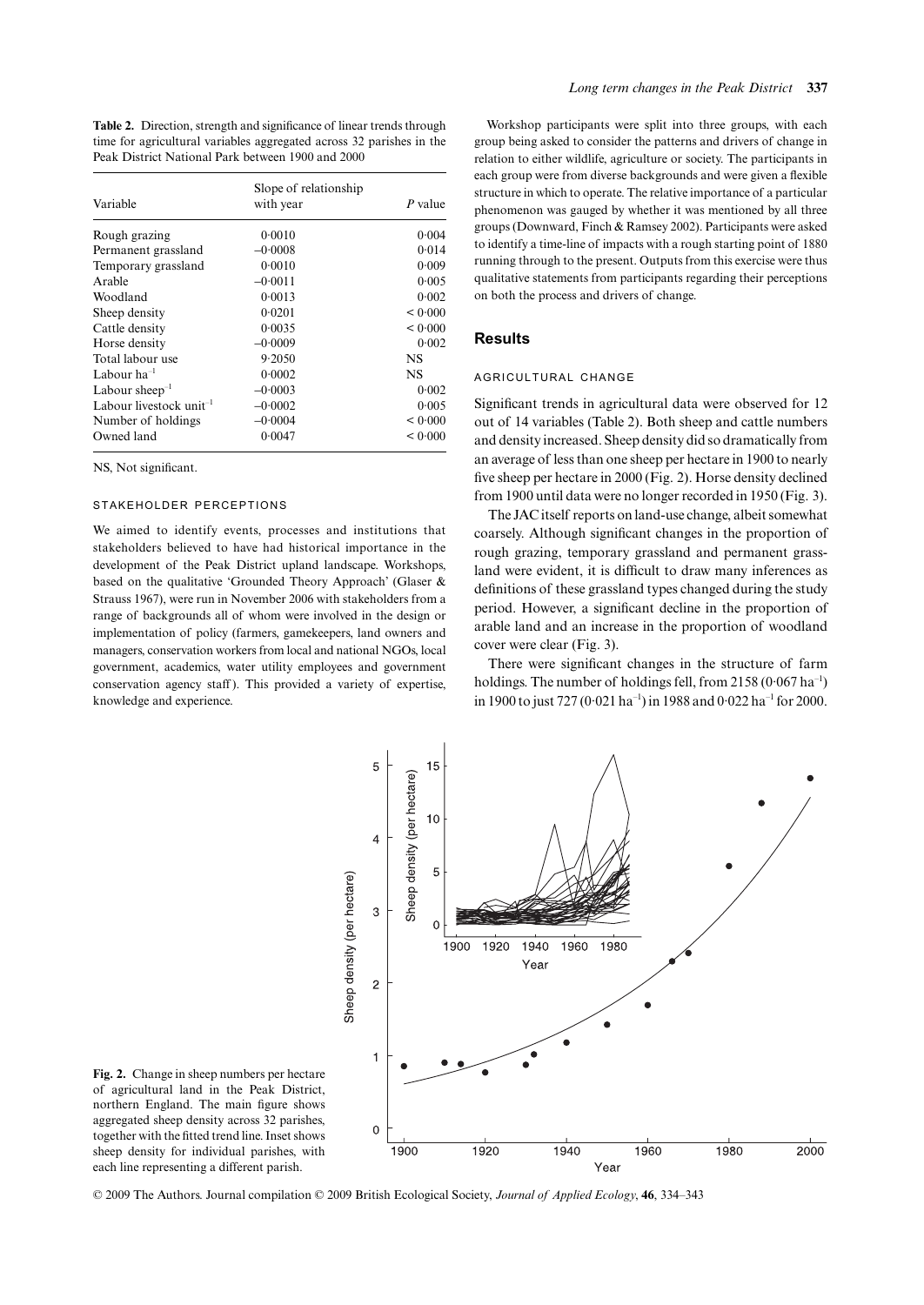**Table 2.** Direction, strength and significance of linear trends through time for agricultural variables aggregated across 32 parishes in the Peak District National Park between 1900 and 2000

| Variable                            | Slope of relationship<br>with year | P value   |
|-------------------------------------|------------------------------------|-----------|
|                                     |                                    |           |
| Rough grazing                       | 0.0010                             | 0.004     |
| Permanent grassland                 | $-0.0008$                          | 0.014     |
| Temporary grassland                 | 0.0010                             | 0.009     |
| Arable                              | $-0.0011$                          | 0.005     |
| Woodland                            | 0.0013                             | 0.002     |
| Sheep density                       | 0.0201                             | < 0.000   |
| Cattle density                      | 0.0035                             | < 0.000   |
| Horse density                       | $-0.0009$                          | 0.002     |
| Total labour use                    | 9.2050                             | <b>NS</b> |
| Labour $ha^{-1}$                    | 0.0002                             | <b>NS</b> |
| Labour sheep $^{-1}$                | $-0.0003$                          | 0.002     |
| Labour livestock unit <sup>-1</sup> | $-0.0002$                          | 0.005     |
| Number of holdings                  | $-0.0004$                          | < 0.000   |
| Owned land                          | 0.0047                             | < 0.000   |

NS, Not significant.

#### STAKEHOLDER PERCEPTIONS

We aimed to identify events, processes and institutions that stakeholders believed to have had historical importance in the development of the Peak District upland landscape. Workshops, based on the qualitative 'Grounded Theory Approach' (Glaser & Strauss 1967), were run in November 2006 with stakeholders from a range of backgrounds all of whom were involved in the design or implementation of policy (farmers, gamekeepers, land owners and managers, conservation workers from local and national NGOs, local government, academics, water utility employees and government conservation agency staff ). This provided a variety of expertise, knowledge and experience.

Workshop participants were split into three groups, with each group being asked to consider the patterns and drivers of change in relation to either wildlife, agriculture or society. The participants in each group were from diverse backgrounds and were given a flexible structure in which to operate. The relative importance of a particular phenomenon was gauged by whether it was mentioned by all three groups (Downward, Finch & Ramsey 2002). Participants were asked to identify a time-line of impacts with a rough starting point of 1880 running through to the present. Outputs from this exercise were thus qualitative statements from participants regarding their perceptions on both the process and drivers of change.

## **Results**

## AGRICULTURAL CHANGE

Significant trends in agricultural data were observed for 12 out of 14 variables (Table 2). Both sheep and cattle numbers and density increased. Sheep density did so dramatically from an average of less than one sheep per hectare in 1900 to nearly five sheep per hectare in 2000 (Fig. 2). Horse density declined from 1900 until data were no longer recorded in 1950 (Fig. 3).

The JAC itself reports on land-use change, albeit somewhat coarsely. Although significant changes in the proportion of rough grazing, temporary grassland and permanent grassland were evident, it is difficult to draw many inferences as definitions of these grassland types changed during the study period. However, a significant decline in the proportion of arable land and an increase in the proportion of woodland cover were clear (Fig. 3).

There were significant changes in the structure of farm holdings. The number of holdings fell, from  $2158 (0.067 \text{ ha}^{-1})$ in 1900 to just 727 (0.021 ha<sup>-1</sup>) in 1988 and 0.022 ha<sup>-1</sup> for 2000.



**Fig. 2.** Change in sheep numbers per hectare of agricultural land in the Peak District, northern England. The main figure shows aggregated sheep density across 32 parishes, together with the fitted trend line. Inset shows sheep density for individual parishes, with each line representing a different parish.

© 2009 The Authors. Journal compilation © 2009 British Ecological Society, *Journal of Applied Ecology*, **46**, 334–343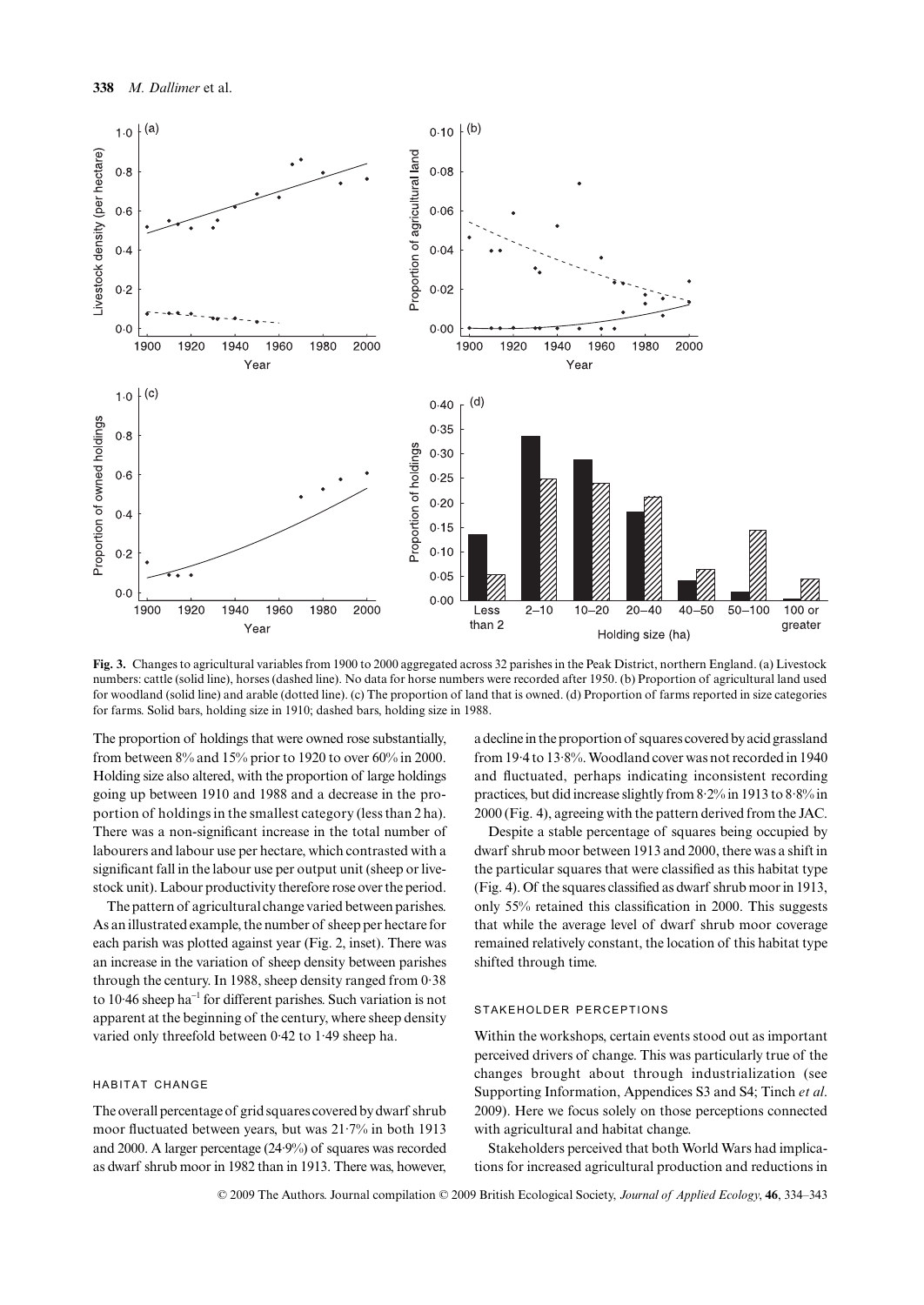

**Fig. 3.** Changes to agricultural variables from 1900 to 2000 aggregated across 32 parishes in the Peak District, northern England. (a) Livestock numbers: cattle (solid line), horses (dashed line). No data for horse numbers were recorded after 1950. (b) Proportion of agricultural land used for woodland (solid line) and arable (dotted line). (c) The proportion of land that is owned. (d) Proportion of farms reported in size categories for farms. Solid bars, holding size in 1910; dashed bars, holding size in 1988.

The proportion of holdings that were owned rose substantially, from between 8% and 15% prior to 1920 to over 60% in 2000. Holding size also altered, with the proportion of large holdings going up between 1910 and 1988 and a decrease in the proportion of holdings in the smallest category (less than 2 ha). There was a non-significant increase in the total number of labourers and labour use per hectare, which contrasted with a significant fall in the labour use per output unit (sheep or livestock unit). Labour productivity therefore rose over the period.

The pattern of agricultural change varied between parishes. As an illustrated example, the number of sheep per hectare for each parish was plotted against year (Fig. 2, inset). There was an increase in the variation of sheep density between parishes through the century. In 1988, sheep density ranged from 0·38 to 10·46 sheep ha<sup>−</sup><sup>1</sup> for different parishes. Such variation is not apparent at the beginning of the century, where sheep density varied only threefold between 0·42 to 1·49 sheep ha.

#### HABITAT CHANGE

The overall percentage of grid squares covered by dwarf shrub moor fluctuated between years, but was 21·7% in both 1913 and 2000. A larger percentage (24·9%) of squares was recorded as dwarf shrub moor in 1982 than in 1913. There was, however,

a decline in the proportion of squares covered by acid grassland from 19·4 to 13·8%. Woodland cover was not recorded in 1940 and fluctuated, perhaps indicating inconsistent recording practices, but did increase slightly from 8·2% in 1913 to 8·8% in 2000 (Fig. 4), agreeing with the pattern derived from the JAC.

Despite a stable percentage of squares being occupied by dwarf shrub moor between 1913 and 2000, there was a shift in the particular squares that were classified as this habitat type (Fig. 4). Of the squares classified as dwarf shrub moor in 1913, only 55% retained this classification in 2000. This suggests that while the average level of dwarf shrub moor coverage remained relatively constant, the location of this habitat type shifted through time.

## STAKEHOLDER PERCEPTIONS

Within the workshops, certain events stood out as important perceived drivers of change. This was particularly true of the changes brought about through industrialization (see Supporting Information, Appendices S3 and S4; Tinch *et al*. 2009). Here we focus solely on those perceptions connected with agricultural and habitat change.

Stakeholders perceived that both World Wars had implications for increased agricultural production and reductions in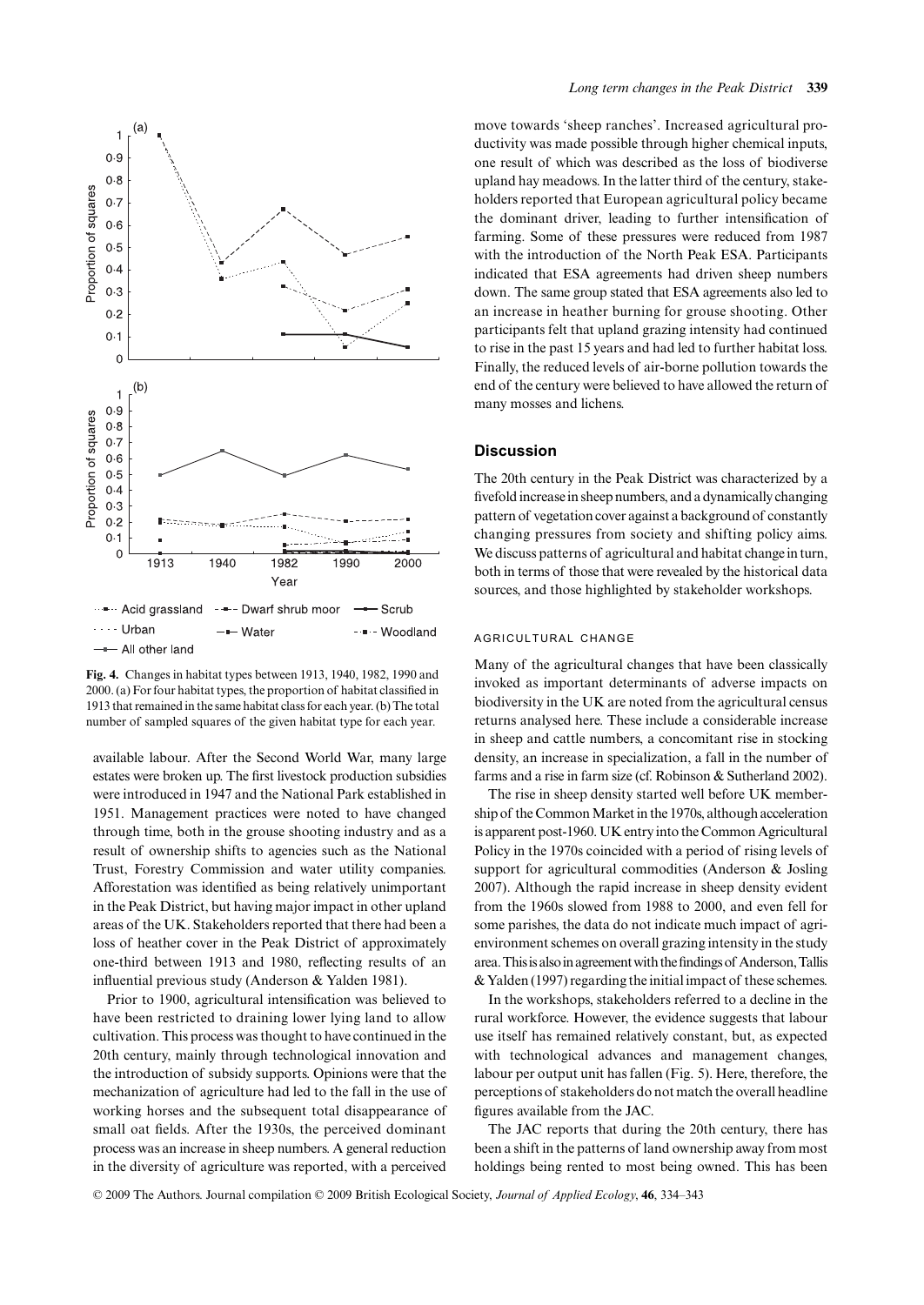

**Fig. 4.** Changes in habitat types between 1913, 1940, 1982, 1990 and 2000. (a) For four habitat types, the proportion of habitat classified in 1913 that remained in the same habitat class for each year. (b) The total number of sampled squares of the given habitat type for each year.

available labour. After the Second World War, many large estates were broken up. The first livestock production subsidies were introduced in 1947 and the National Park established in 1951. Management practices were noted to have changed through time, both in the grouse shooting industry and as a result of ownership shifts to agencies such as the National Trust, Forestry Commission and water utility companies. Afforestation was identified as being relatively unimportant in the Peak District, but having major impact in other upland areas of the UK. Stakeholders reported that there had been a loss of heather cover in the Peak District of approximately one-third between 1913 and 1980, reflecting results of an influential previous study (Anderson & Yalden 1981).

Prior to 1900, agricultural intensification was believed to have been restricted to draining lower lying land to allow cultivation. This process was thought to have continued in the 20th century, mainly through technological innovation and the introduction of subsidy supports. Opinions were that the mechanization of agriculture had led to the fall in the use of working horses and the subsequent total disappearance of small oat fields. After the 1930s, the perceived dominant process was an increase in sheep numbers. A general reduction in the diversity of agriculture was reported, with a perceived

move towards 'sheep ranches'. Increased agricultural productivity was made possible through higher chemical inputs, one result of which was described as the loss of biodiverse upland hay meadows. In the latter third of the century, stakeholders reported that European agricultural policy became the dominant driver, leading to further intensification of farming. Some of these pressures were reduced from 1987 with the introduction of the North Peak ESA. Participants indicated that ESA agreements had driven sheep numbers down. The same group stated that ESA agreements also led to an increase in heather burning for grouse shooting. Other participants felt that upland grazing intensity had continued to rise in the past 15 years and had led to further habitat loss. Finally, the reduced levels of air-borne pollution towards the end of the century were believed to have allowed the return of many mosses and lichens.

### **Discussion**

The 20th century in the Peak District was characterized by a fivefold increase in sheep numbers, and a dynamically changing pattern of vegetation cover against a background of constantly changing pressures from society and shifting policy aims. We discuss patterns of agricultural and habitat change in turn, both in terms of those that were revealed by the historical data sources, and those highlighted by stakeholder workshops.

## AGRICULTURAL CHANGE

Many of the agricultural changes that have been classically invoked as important determinants of adverse impacts on biodiversity in the UK are noted from the agricultural census returns analysed here. These include a considerable increase in sheep and cattle numbers, a concomitant rise in stocking density, an increase in specialization, a fall in the number of farms and a rise in farm size (cf. Robinson & Sutherland 2002).

The rise in sheep density started well before UK membership of the Common Market in the 1970s, although acceleration is apparent post-1960. UK entry into the Common Agricultural Policy in the 1970s coincided with a period of rising levels of support for agricultural commodities (Anderson & Josling 2007). Although the rapid increase in sheep density evident from the 1960s slowed from 1988 to 2000, and even fell for some parishes, the data do not indicate much impact of agrienvironment schemes on overall grazing intensity in the study area. This is also in agreement with the findings of Anderson, Tallis & Yalden (1997) regarding the initial impact of these schemes.

In the workshops, stakeholders referred to a decline in the rural workforce. However, the evidence suggests that labour use itself has remained relatively constant, but, as expected with technological advances and management changes, labour per output unit has fallen (Fig. 5). Here, therefore, the perceptions of stakeholders do not match the overall headline figures available from the JAC.

The JAC reports that during the 20th century, there has been a shift in the patterns of land ownership away from most holdings being rented to most being owned. This has been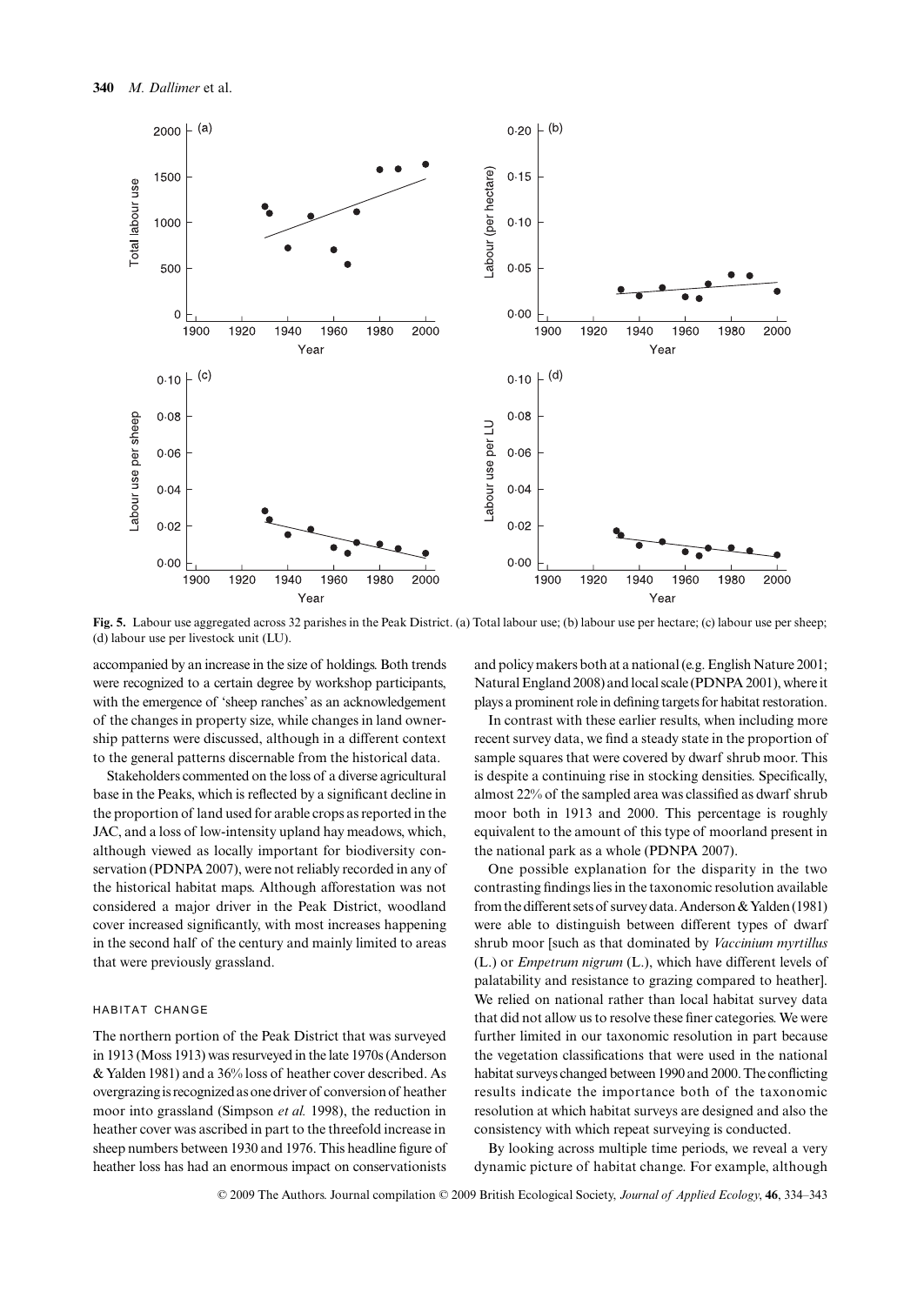

**Fig. 5.** Labour use aggregated across 32 parishes in the Peak District. (a) Total labour use; (b) labour use per hectare; (c) labour use per sheep; (d) labour use per livestock unit (LU).

accompanied by an increase in the size of holdings. Both trends were recognized to a certain degree by workshop participants, with the emergence of 'sheep ranches' as an acknowledgement of the changes in property size, while changes in land ownership patterns were discussed, although in a different context to the general patterns discernable from the historical data.

Stakeholders commented on the loss of a diverse agricultural base in the Peaks, which is reflected by a significant decline in the proportion of land used for arable crops as reported in the JAC, and a loss of low-intensity upland hay meadows, which, although viewed as locally important for biodiversity conservation (PDNPA 2007), were not reliably recorded in any of the historical habitat maps. Although afforestation was not considered a major driver in the Peak District, woodland cover increased significantly, with most increases happening in the second half of the century and mainly limited to areas that were previously grassland.

## HABITAT CHANGE

The northern portion of the Peak District that was surveyed in 1913 (Moss 1913) was resurveyed in the late 1970s (Anderson & Yalden 1981) and a 36% loss of heather cover described. As overgrazing is recognized as one driver of conversion of heather moor into grassland (Simpson *et al.* 1998), the reduction in heather cover was ascribed in part to the threefold increase in sheep numbers between 1930 and 1976. This headline figure of heather loss has had an enormous impact on conservationists

and policy makers both at a national (e.g. English Nature 2001; Natural England 2008) and local scale (PDNPA 2001), where it plays a prominent role in defining targets for habitat restoration.

In contrast with these earlier results, when including more recent survey data, we find a steady state in the proportion of sample squares that were covered by dwarf shrub moor. This is despite a continuing rise in stocking densities. Specifically, almost 22% of the sampled area was classified as dwarf shrub moor both in 1913 and 2000. This percentage is roughly equivalent to the amount of this type of moorland present in the national park as a whole (PDNPA 2007).

One possible explanation for the disparity in the two contrasting findings lies in the taxonomic resolution available from the different sets of survey data. Anderson & Yalden (1981) were able to distinguish between different types of dwarf shrub moor [such as that dominated by *Vaccinium myrtillus* (L.) or *Empetrum nigrum* (L.), which have different levels of palatability and resistance to grazing compared to heather]. We relied on national rather than local habitat survey data that did not allow us to resolve these finer categories. We were further limited in our taxonomic resolution in part because the vegetation classifications that were used in the national habitat surveys changed between 1990 and 2000. The conflicting results indicate the importance both of the taxonomic resolution at which habitat surveys are designed and also the consistency with which repeat surveying is conducted.

By looking across multiple time periods, we reveal a very dynamic picture of habitat change. For example, although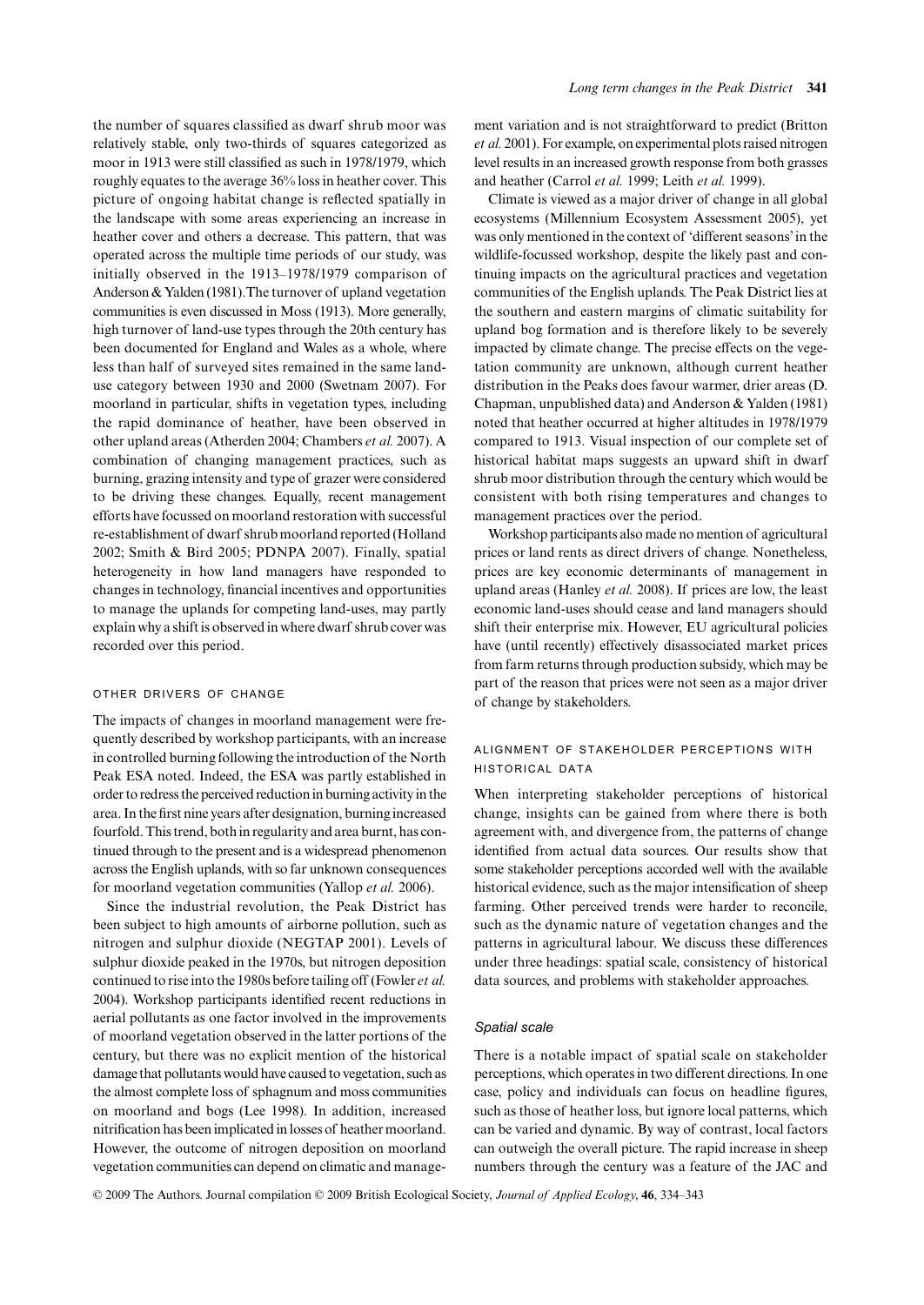the number of squares classified as dwarf shrub moor was relatively stable, only two-thirds of squares categorized as moor in 1913 were still classified as such in 1978/1979, which roughly equates to the average 36% loss in heather cover. This picture of ongoing habitat change is reflected spatially in the landscape with some areas experiencing an increase in heather cover and others a decrease. This pattern, that was operated across the multiple time periods of our study, was initially observed in the 1913–1978/1979 comparison of Anderson & Yalden (1981).The turnover of upland vegetation communities is even discussed in Moss (1913). More generally, high turnover of land-use types through the 20th century has been documented for England and Wales as a whole, where less than half of surveyed sites remained in the same landuse category between 1930 and 2000 (Swetnam 2007). For moorland in particular, shifts in vegetation types, including the rapid dominance of heather, have been observed in other upland areas (Atherden 2004; Chambers *et al.* 2007). A combination of changing management practices, such as burning, grazing intensity and type of grazer were considered to be driving these changes. Equally, recent management efforts have focussed on moorland restoration with successful re-establishment of dwarf shrub moorland reported (Holland 2002; Smith & Bird 2005; PDNPA 2007). Finally, spatial heterogeneity in how land managers have responded to changes in technology, financial incentives and opportunities to manage the uplands for competing land-uses, may partly explain why a shift is observed in where dwarf shrub cover was recorded over this period.

#### OTHER DRIVERS OF CHANGE

The impacts of changes in moorland management were frequently described by workshop participants, with an increase in controlled burning following the introduction of the North Peak ESA noted. Indeed, the ESA was partly established in order to redress the perceived reduction in burning activity in the area. In the first nine years after designation, burning increased fourfold. This trend, both in regularity and area burnt, has continued through to the present and is a widespread phenomenon across the English uplands, with so far unknown consequences for moorland vegetation communities (Yallop *et al.* 2006).

Since the industrial revolution, the Peak District has been subject to high amounts of airborne pollution, such as nitrogen and sulphur dioxide (NEGTAP 2001). Levels of sulphur dioxide peaked in the 1970s, but nitrogen deposition continued to rise into the 1980s before tailing off (Fowler *et al.* 2004). Workshop participants identified recent reductions in aerial pollutants as one factor involved in the improvements of moorland vegetation observed in the latter portions of the century, but there was no explicit mention of the historical damage that pollutants would have caused to vegetation, such as the almost complete loss of sphagnum and moss communities on moorland and bogs (Lee 1998). In addition, increased nitrification has been implicated in losses of heather moorland. However, the outcome of nitrogen deposition on moorland vegetation communities can depend on climatic and management variation and is not straightforward to predict (Britton *et al.* 2001). For example, on experimental plots raised nitrogen level results in an increased growth response from both grasses and heather (Carrol *et al.* 1999; Leith *et al.* 1999).

Climate is viewed as a major driver of change in all global ecosystems (Millennium Ecosystem Assessment 2005), yet was only mentioned in the context of 'different seasons' in the wildlife-focussed workshop, despite the likely past and continuing impacts on the agricultural practices and vegetation communities of the English uplands. The Peak District lies at the southern and eastern margins of climatic suitability for upland bog formation and is therefore likely to be severely impacted by climate change. The precise effects on the vegetation community are unknown, although current heather distribution in the Peaks does favour warmer, drier areas (D. Chapman, unpublished data) and Anderson & Yalden (1981) noted that heather occurred at higher altitudes in 1978/1979 compared to 1913. Visual inspection of our complete set of historical habitat maps suggests an upward shift in dwarf shrub moor distribution through the century which would be consistent with both rising temperatures and changes to management practices over the period.

Workshop participants also made no mention of agricultural prices or land rents as direct drivers of change. Nonetheless, prices are key economic determinants of management in upland areas (Hanley *et al.* 2008). If prices are low, the least economic land-uses should cease and land managers should shift their enterprise mix. However, EU agricultural policies have (until recently) effectively disassociated market prices from farm returns through production subsidy, which may be part of the reason that prices were not seen as a major driver of change by stakeholders.

## ALIGNMENT OF STAKEHOLDER PERCEPTIONS WITH HISTORICAL DATA

When interpreting stakeholder perceptions of historical change, insights can be gained from where there is both agreement with, and divergence from, the patterns of change identified from actual data sources. Our results show that some stakeholder perceptions accorded well with the available historical evidence, such as the major intensification of sheep farming. Other perceived trends were harder to reconcile, such as the dynamic nature of vegetation changes and the patterns in agricultural labour. We discuss these differences under three headings: spatial scale, consistency of historical data sources, and problems with stakeholder approaches.

#### *Spatial scale*

There is a notable impact of spatial scale on stakeholder perceptions, which operates in two different directions. In one case, policy and individuals can focus on headline figures, such as those of heather loss, but ignore local patterns, which can be varied and dynamic. By way of contrast, local factors can outweigh the overall picture. The rapid increase in sheep numbers through the century was a feature of the JAC and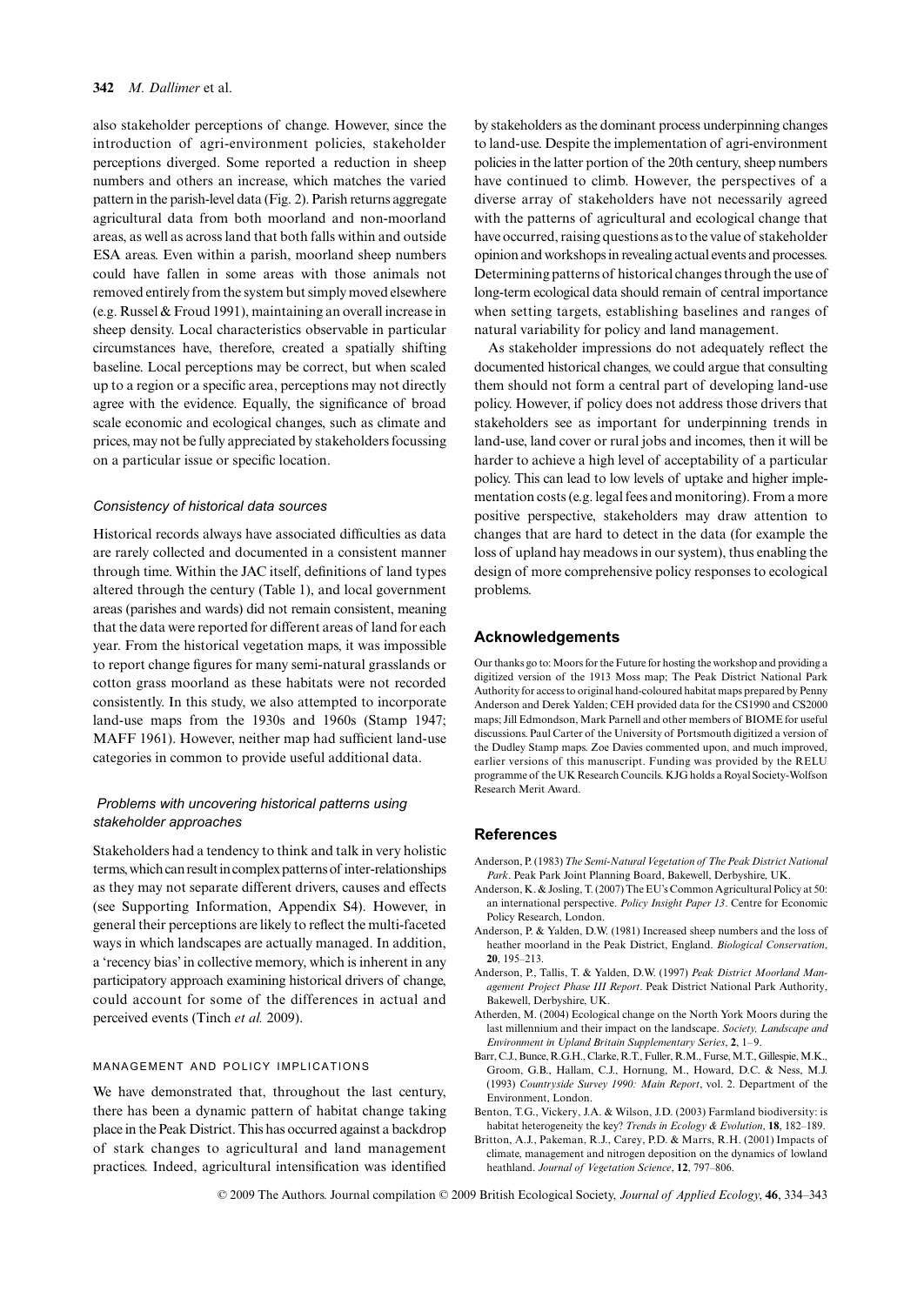#### **342** *M. Dallimer* et al.

also stakeholder perceptions of change. However, since the introduction of agri-environment policies, stakeholder perceptions diverged. Some reported a reduction in sheep numbers and others an increase, which matches the varied pattern in the parish-level data (Fig. 2). Parish returns aggregate agricultural data from both moorland and non-moorland areas, as well as across land that both falls within and outside ESA areas. Even within a parish, moorland sheep numbers could have fallen in some areas with those animals not removed entirely from the system but simply moved elsewhere (e.g. Russel & Froud 1991), maintaining an overall increase in sheep density. Local characteristics observable in particular circumstances have, therefore, created a spatially shifting baseline. Local perceptions may be correct, but when scaled up to a region or a specific area, perceptions may not directly agree with the evidence. Equally, the significance of broad scale economic and ecological changes, such as climate and prices, may not be fully appreciated by stakeholders focussing on a particular issue or specific location.

# *Consistency of historical data sources*

Historical records always have associated difficulties as data are rarely collected and documented in a consistent manner through time. Within the JAC itself, definitions of land types altered through the century (Table 1), and local government areas (parishes and wards) did not remain consistent, meaning that the data were reported for different areas of land for each year. From the historical vegetation maps, it was impossible to report change figures for many semi-natural grasslands or cotton grass moorland as these habitats were not recorded consistently. In this study, we also attempted to incorporate land-use maps from the 1930s and 1960s (Stamp 1947; MAFF 1961). However, neither map had sufficient land-use categories in common to provide useful additional data.

# *Problems with uncovering historical patterns using stakeholder approaches*

Stakeholders had a tendency to think and talk in very holistic terms, which can result in complex patterns of inter-relationships as they may not separate different drivers, causes and effects (see Supporting Information, Appendix S4). However, in general their perceptions are likely to reflect the multi-faceted ways in which landscapes are actually managed. In addition, a 'recency bias' in collective memory, which is inherent in any participatory approach examining historical drivers of change, could account for some of the differences in actual and perceived events (Tinch *et al.* 2009).

#### MANAGEMENT AND POLICY IMPLICATIONS

We have demonstrated that, throughout the last century, there has been a dynamic pattern of habitat change taking place in the Peak District. This has occurred against a backdrop of stark changes to agricultural and land management practices. Indeed, agricultural intensification was identified

by stakeholders as the dominant process underpinning changes to land-use. Despite the implementation of agri-environment policies in the latter portion of the 20th century, sheep numbers have continued to climb. However, the perspectives of a diverse array of stakeholders have not necessarily agreed with the patterns of agricultural and ecological change that have occurred, raising questions as to the value of stakeholder opinion and workshops in revealing actual events and processes. Determining patterns of historical changes through the use of long-term ecological data should remain of central importance when setting targets, establishing baselines and ranges of natural variability for policy and land management.

As stakeholder impressions do not adequately reflect the documented historical changes, we could argue that consulting them should not form a central part of developing land-use policy. However, if policy does not address those drivers that stakeholders see as important for underpinning trends in land-use, land cover or rural jobs and incomes, then it will be harder to achieve a high level of acceptability of a particular policy. This can lead to low levels of uptake and higher implementation costs (e.g. legal fees and monitoring). From a more positive perspective, stakeholders may draw attention to changes that are hard to detect in the data (for example the loss of upland hay meadows in our system), thus enabling the design of more comprehensive policy responses to ecological problems.

## **Acknowledgements**

Our thanks go to: Moors for the Future for hosting the workshop and providing a digitized version of the 1913 Moss map; The Peak District National Park Authority for access to original hand-coloured habitat maps prepared by Penny Anderson and Derek Yalden; CEH provided data for the CS1990 and CS2000 maps; Jill Edmondson, Mark Parnell and other members of BIOME for useful discussions. Paul Carter of the University of Portsmouth digitized a version of the Dudley Stamp maps. Zoe Davies commented upon, and much improved, earlier versions of this manuscript. Funding was provided by the RELU programme of the UK Research Councils. KJG holds a Royal Society-Wolfson Research Merit Award.

#### **References**

- Anderson, P. (1983) *The Semi-Natural Vegetation of The Peak District National Park*. Peak Park Joint Planning Board, Bakewell, Derbyshire, UK.
- Anderson, K. & Josling, T. (2007) The EU's Common Agricultural Policy at 50: an international perspective. *Policy Insight Paper 13*. Centre for Economic Policy Research, London.
- Anderson, P. & Yalden, D.W. (1981) Increased sheep numbers and the loss of heather moorland in the Peak District, England. *Biological Conservation*, **20**, 195–213.
- Anderson, P., Tallis, T. & Yalden, D.W. (1997) *Peak District Moorland Management Project Phase III Report*. Peak District National Park Authority, Bakewell, Derbyshire, UK.
- Atherden, M. (2004) Ecological change on the North York Moors during the last millennium and their impact on the landscape. *Society, Landscape and Environment in Upland Britain Supplementary Series*, **2**, 1–9.
- Barr, C.J., Bunce, R.G.H., Clarke, R.T., Fuller, R.M., Furse, M.T., Gillespie, M.K., Groom, G.B., Hallam, C.J., Hornung, M., Howard, D.C. & Ness, M.J. (1993) *Countryside Survey 1990: Main Report*, vol. 2. Department of the Environment, London.
- Benton, T.G., Vickery, J.A. & Wilson, J.D. (2003) Farmland biodiversity: is habitat heterogeneity the key? *Trends in Ecology & Evolution*, **18**, 182–189.
- Britton, A.J., Pakeman, R.J., Carey, P.D. & Marrs, R.H. (2001) Impacts of climate, management and nitrogen deposition on the dynamics of lowland heathland. *Journal of Vegetation Science*, **12**, 797–806.